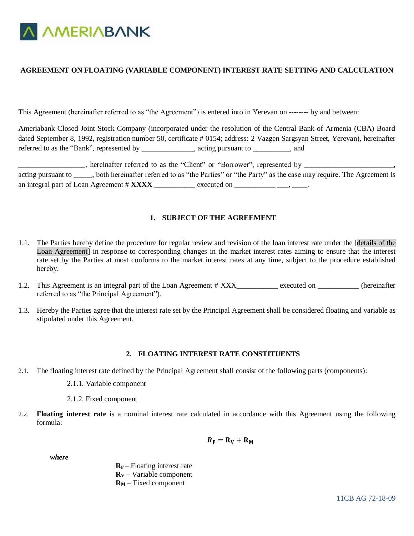

### **AGREEMENT ON FLOATING (VARIABLE COMPONENT) INTEREST RATE SETTING AND CALCULATION**

This Agreement (hereinafter referred to as "the Agreement") is entered into in Yerevan on -------- by and between:

Ameriabank Closed Joint Stock Company (incorporated under the resolution of the Central Bank of Armenia (CBA) Board dated September 8, 1992, registration number 50, certificate # 0154; address: 2 Vazgen Sargsyan Street, Yerevan), hereinafter referred to as the "Bank", represented by \_\_\_\_\_\_\_\_\_\_\_\_\_\_, acting pursuant to \_\_\_\_\_\_\_\_\_\_, and

Let us the "Client" or "Borrower", represented by  $\Box$ acting pursuant to \_\_\_\_\_, both hereinafter referred to as "the Parties" or "the Party" as the case may require. The Agreement is an integral part of Loan Agreement # **XXXX** \_\_\_\_\_\_\_\_\_\_\_ executed on \_\_\_\_\_\_\_\_\_\_\_ \_\_\_, \_\_\_\_.

# **1. SUBJECT OF THE AGREEMENT**

- 1.1. The Parties hereby define the procedure for regular review and revision of the loan interest rate under the [details of the Loan Agreement] in response to corresponding changes in the market interest rates aiming to ensure that the interest rate set by the Parties at most conforms to the market interest rates at any time, subject to the procedure established hereby.
- 1.2. This Agreement is an integral part of the Loan Agreement # XXX executed on the executed on the einafter referred to as "the Principal Agreement").
- 1.3. Hereby the Parties agree that the interest rate set by the Principal Agreement shall be considered floating and variable as stipulated under this Agreement.

### **2. FLOATING INTEREST RATE CONSTITUENTS**

- 2.1. The floating interest rate defined by the Principal Agreement shall consist of the following parts (components):
	- 2.1.1. Variable component
	- 2.1.2. Fixed component
- 2.2. **Floating interest rate** is a nominal interest rate calculated in accordance with this Agreement using the following formula:

$$
R_{\rm F} = R_{\rm V} + R_{\rm M}
$$

 *where*

 $R_F$  – Floating interest rate  $R_V$  – Variable component  $R_M$  – Fixed component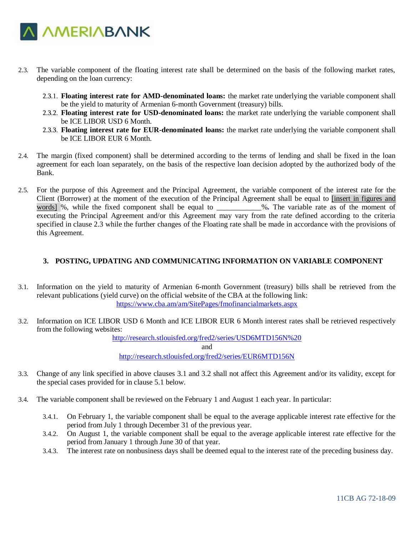

- 2.3. The variable component of the floating interest rate shall be determined on the basis of the following market rates, depending on the loan currency:
	- 2.3.1. **Floating interest rate for AMD-denominated loans:** the market rate underlying the variable component shall be the yield to maturity of Armenian 6-month Government (treasury) bills.
	- 2.3.2. **Floating interest rate for USD-denominated loans:** the market rate underlying the variable component shall be ICE LIBOR USD 6 Month.
	- 2.3.3. **Floating interest rate for EUR-denominated loans:** the market rate underlying the variable component shall be ICE LIBOR EUR 6 Month.
- 2.4. The margin (fixed component) shall be determined according to the terms of lending and shall be fixed in the loan agreement for each loan separately, on the basis of the respective loan decision adopted by the authorized body of the Bank.
- 2.5. For the purpose of this Agreement and the Principal Agreement, the variable component of the interest rate for the Client (Borrower) at the moment of the execution of the Principal Agreement shall be equal to [insert in figures and words] %, while the fixed component shall be equal to \_\_\_\_\_\_\_\_\_\_\_\_%. The variable rate as of the moment of executing the Principal Agreement and/or this Agreement may vary from the rate defined according to the criteria specified in clause 2.3 while the further changes of the Floating rate shall be made in accordance with the provisions of this Agreement.

### **3. POSTING, UPDATING AND COMMUNICATING INFORMATION ON VARIABLE COMPONENT**

- 3.1. Information on the yield to maturity of Armenian 6-month Government (treasury) bills shall be retrieved from the relevant publications (yield curve) on the official website of the CBA at the following link: <https://www.cba.am/am/SitePages/fmofinancialmarkets.aspx>
- 3.2. Information on ICE LIBOR USD 6 Month and ICE LIBOR EUR 6 Month interest rates shall be retrieved respectively from the following websites:

[http://research.stlouisfed.org/fred2/series/USD6MTD156N%20](http://research.stlouisfed.org/fred2/series/USD6MTD156N) and

<http://research.stlouisfed.org/fred2/series/EUR6MTD156N>

- 3.3. Change of any link specified in above clauses 3.1 and 3.2 shall not affect this Agreement and/or its validity, except for the special cases provided for in clause 5.1 below.
- 3.4. The variable component shall be reviewed on the February 1 and August 1 each year. In particular:
	- 3.4.1. On February 1, the variable component shall be equal to the average applicable interest rate effective for the period from July 1 through December 31 of the previous year.
	- 3.4.2. On August 1, the variable component shall be equal to the average applicable interest rate effective for the period from January 1 through June 30 of that year.
	- 3.4.3. The interest rate on nonbusiness days shall be deemed equal to the interest rate of the preceding business day.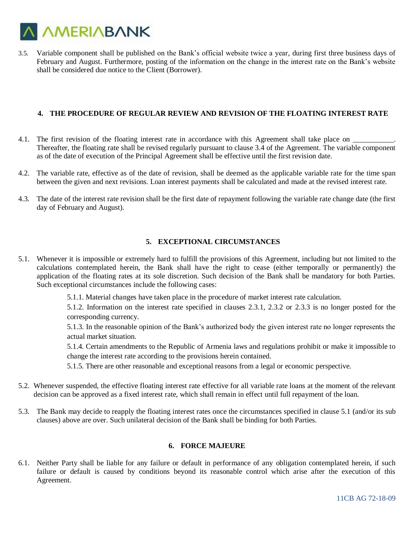

3.5. Variable component shall be published on the Bank's official website twice a year, during first three business days of February and August. Furthermore, posting of the information on the change in the interest rate on the Bank's website shall be considered due notice to the Client (Borrower).

### **4. THE PROCEDURE OF REGULAR REVIEW AND REVISION OF THE FLOATING INTEREST RATE**

- 4.1. The first revision of the floating interest rate in accordance with this Agreement shall take place on Thereafter, the floating rate shall be revised regularly pursuant to clause 3.4 of the Agreement. The variable component as of the date of execution of the Principal Agreement shall be effective until the first revision date.
- 4.2. The variable rate, effective as of the date of revision, shall be deemed as the applicable variable rate for the time span between the given and next revisions. Loan interest payments shall be calculated and made at the revised interest rate.
- 4.3. The date of the interest rate revision shall be the first date of repayment following the variable rate change date (the first day of February and August).

# **5. EXCEPTIONAL CIRCUMSTANCES**

- 5.1. Whenever it is impossible or extremely hard to fulfill the provisions of this Agreement, including but not limited to the calculations contemplated herein, the Bank shall have the right to cease (either temporally or permanently) the application of the floating rates at its sole discretion. Such decision of the Bank shall be mandatory for both Parties. Such exceptional circumstances include the following cases:
	- 5.1.1. Material changes have taken place in the procedure of market interest rate calculation.

5.1.2. Information on the interest rate specified in clauses 2.3.1, 2.3.2 or 2.3.3 is no longer posted for the corresponding currency.

5.1.3. In the reasonable opinion of the Bank's authorized body the given interest rate no longer represents the actual market situation.

5.1.4. Certain amendments to the Republic of Armenia laws and regulations prohibit or make it impossible to change the interest rate according to the provisions herein contained.

5.1.5. There are other reasonable and exceptional reasons from a legal or economic perspective.

- 5.2. Whenever suspended, the effective floating interest rate effective for all variable rate loans at the moment of the relevant decision can be approved as a fixed interest rate, which shall remain in effect until full repayment of the loan.
- 5.3. The Bank may decide to reapply the floating interest rates once the circumstances specified in clause 5.1 (and/or its sub clauses) above are over. Such unilateral decision of the Bank shall be binding for both Parties.

### **6. FORCE MAJEURE**

6.1. Neither Party shall be liable for any failure or default in performance of any obligation contemplated herein, if such failure or default is caused by conditions beyond its reasonable control which arise after the execution of this Agreement.